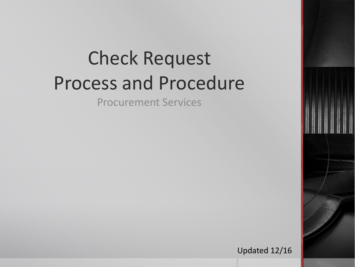# Check Request Process and Procedure

Procurement Services

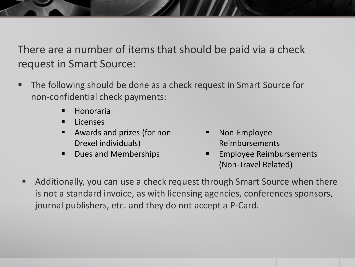There are a number of items that should be paid via a check request in Smart Source:

- The following should be done as a check request in Smart Source for non-confidential check payments:
	- **Honoraria**
	- **Licenses**
	- Awards and prizes (for non-Drexel individuals)
	- Dues and Memberships
- Non-Employee Reimbursements
- Employee Reimbursements (Non-Travel Related)
- Additionally, you can use a check request through Smart Source when there is not a standard invoice, as with licensing agencies, conferences sponsors, journal publishers, etc. and they do not accept a P-Card.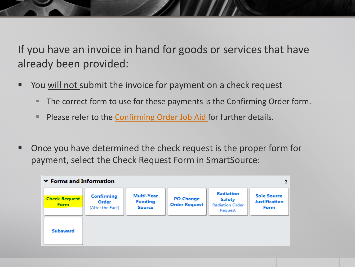If you have an invoice in hand for goods or services that have already been provided:

- You will not submit the invoice for payment on a check request
	- The correct form to use for these payments is the Confirming Order form.
	- **Please refer to the [Confirming Order Job Aid f](http://drexel.edu/procurement/onlineMarketplace/smart-source/presentations/)or further details.**
- Once you have determined the check request is the proper form for payment, select the Check Request Form in SmartSource:

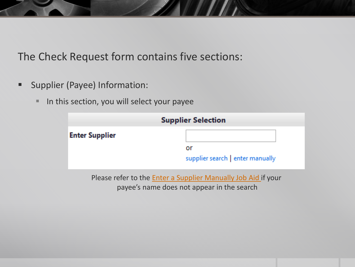- **Supplier (Payee) Information:** 
	- In this section, you will select your payee

|                       | <b>Supplier Selection</b>        |  |  |
|-----------------------|----------------------------------|--|--|
| <b>Enter Supplier</b> |                                  |  |  |
|                       | or                               |  |  |
|                       | supplier search   enter manually |  |  |

Please refer to the **Enter a Supplier Manually Job Aid** if your payee's name does not appear in the search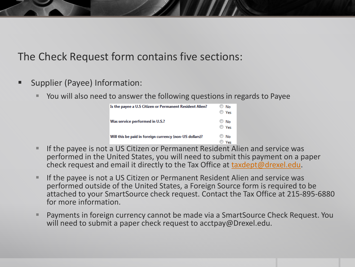- Supplier (Payee) Information:
	- You will also need to answer the following questions in regards to Payee

| Is the payee a U.S Citizen or Permanent Resident Alien? | No<br><b>O</b> Ves  |
|---------------------------------------------------------|---------------------|
| Was service performed in U.S.?                          | $\odot$ No<br>◯ Yes |
| Will this be paid in foreign currency (non-US dollars)? | $\odot$ No<br>Ves   |

- If the payee is not a US Citizen or Permanent Resident Alien and service was performed in the United States, you will need to submit this payment on a paper check request and email it directly to the Tax Office at [taxdept@drexel.edu.](mailto:taxdept@drexel.edu)
- **If the payee is not a US Citizen or Permanent Resident Alien and service was** performed outside of the United States, a Foreign Source form is required to be attached to your SmartSource check request. Contact the Tax Office at 215-895-6880 for more information.
- Payments in foreign currency cannot be made via a SmartSource Check Request. You will need to submit a paper check request to acctpay@Drexel.edu.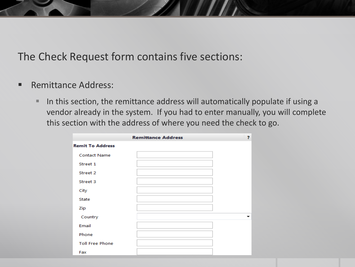- **Remittance Address:** 
	- In this section, the remittance address will automatically populate if using a vendor already in the system. If you had to enter manually, you will complete this section with the address of where you need the check to go.

|                         | <b>Remittance Address</b> | 2 |
|-------------------------|---------------------------|---|
| <b>Remit To Address</b> |                           |   |
| <b>Contact Name</b>     |                           |   |
| Street 1                |                           |   |
| Street 2                |                           |   |
| Street 3                |                           |   |
| City                    |                           |   |
| <b>State</b>            |                           |   |
| Zip                     |                           |   |
| Country                 |                           |   |
| Email                   |                           |   |
| Phone                   |                           |   |
| <b>Toll Free Phone</b>  |                           |   |
| Fax                     |                           |   |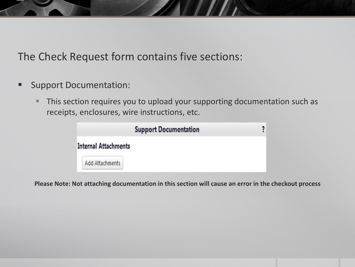- **Support Documentation:** 
	- **This section requires you to upload your supporting documentation such as** receipts, enclosures, wire instructions, etc.



**Please Note: Not attaching documentation in this section will cause an error in the checkout process**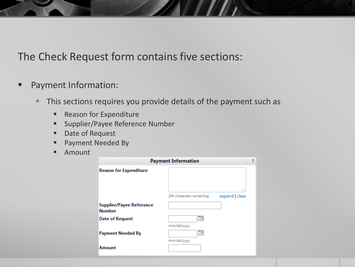- **Payment Information:** 
	- This sections requires you provide details of the payment such as
		- **Reason for Expenditure**
		- **Supplier/Payee Reference Number**
		- Date of Request
		- **Payment Needed By**
		- **Amount**